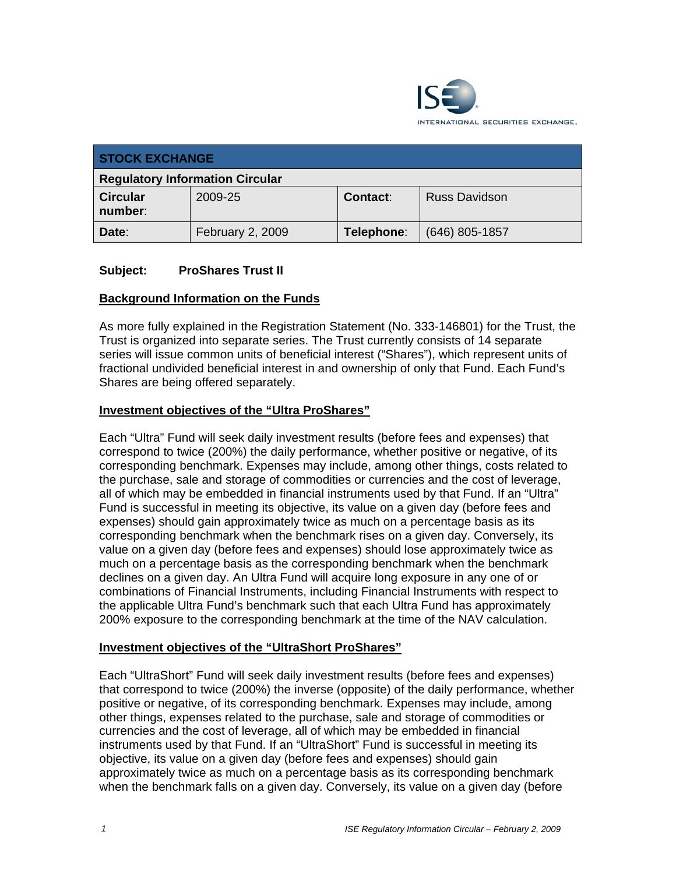

| <b>STOCK EXCHANGE</b>                  |                  |            |                      |  |
|----------------------------------------|------------------|------------|----------------------|--|
| <b>Regulatory Information Circular</b> |                  |            |                      |  |
| <b>Circular</b><br>number:             | 2009-25          | Contact:   | <b>Russ Davidson</b> |  |
| Date:                                  | February 2, 2009 | Telephone: | $(646)$ 805-1857     |  |

### **Subject: ProShares Trust II**

### **Background Information on the Funds**

As more fully explained in the Registration Statement (No. 333-146801) for the Trust, the Trust is organized into separate series. The Trust currently consists of 14 separate series will issue common units of beneficial interest ("Shares"), which represent units of fractional undivided beneficial interest in and ownership of only that Fund. Each Fund's Shares are being offered separately.

#### **Investment objectives of the "Ultra ProShares"**

Each "Ultra" Fund will seek daily investment results (before fees and expenses) that correspond to twice (200%) the daily performance, whether positive or negative, of its corresponding benchmark. Expenses may include, among other things, costs related to the purchase, sale and storage of commodities or currencies and the cost of leverage, all of which may be embedded in financial instruments used by that Fund. If an "Ultra" Fund is successful in meeting its objective, its value on a given day (before fees and expenses) should gain approximately twice as much on a percentage basis as its corresponding benchmark when the benchmark rises on a given day. Conversely, its value on a given day (before fees and expenses) should lose approximately twice as much on a percentage basis as the corresponding benchmark when the benchmark declines on a given day. An Ultra Fund will acquire long exposure in any one of or combinations of Financial Instruments, including Financial Instruments with respect to the applicable Ultra Fund's benchmark such that each Ultra Fund has approximately 200% exposure to the corresponding benchmark at the time of the NAV calculation.

#### **Investment objectives of the "UltraShort ProShares"**

Each "UltraShort" Fund will seek daily investment results (before fees and expenses) that correspond to twice (200%) the inverse (opposite) of the daily performance, whether positive or negative, of its corresponding benchmark. Expenses may include, among other things, expenses related to the purchase, sale and storage of commodities or currencies and the cost of leverage, all of which may be embedded in financial instruments used by that Fund. If an "UltraShort" Fund is successful in meeting its objective, its value on a given day (before fees and expenses) should gain approximately twice as much on a percentage basis as its corresponding benchmark when the benchmark falls on a given day. Conversely, its value on a given day (before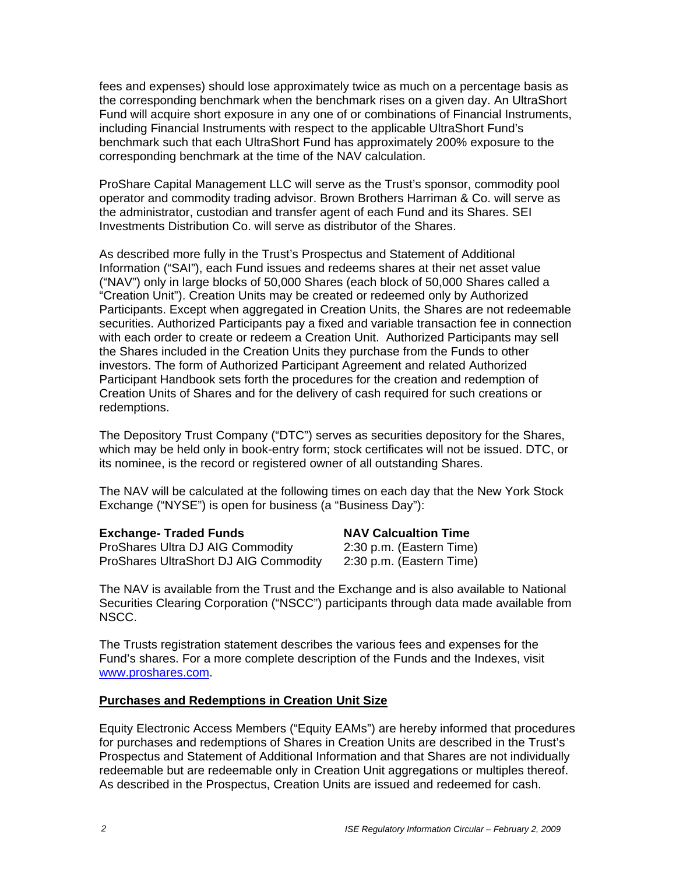fees and expenses) should lose approximately twice as much on a percentage basis as the corresponding benchmark when the benchmark rises on a given day. An UltraShort Fund will acquire short exposure in any one of or combinations of Financial Instruments, including Financial Instruments with respect to the applicable UltraShort Fund's benchmark such that each UltraShort Fund has approximately 200% exposure to the corresponding benchmark at the time of the NAV calculation.

ProShare Capital Management LLC will serve as the Trust's sponsor, commodity pool operator and commodity trading advisor. Brown Brothers Harriman & Co. will serve as the administrator, custodian and transfer agent of each Fund and its Shares. SEI Investments Distribution Co. will serve as distributor of the Shares.

As described more fully in the Trust's Prospectus and Statement of Additional Information ("SAI"), each Fund issues and redeems shares at their net asset value ("NAV") only in large blocks of 50,000 Shares (each block of 50,000 Shares called a "Creation Unit"). Creation Units may be created or redeemed only by Authorized Participants. Except when aggregated in Creation Units, the Shares are not redeemable securities. Authorized Participants pay a fixed and variable transaction fee in connection with each order to create or redeem a Creation Unit. Authorized Participants may sell the Shares included in the Creation Units they purchase from the Funds to other investors. The form of Authorized Participant Agreement and related Authorized Participant Handbook sets forth the procedures for the creation and redemption of Creation Units of Shares and for the delivery of cash required for such creations or redemptions.

The Depository Trust Company ("DTC") serves as securities depository for the Shares, which may be held only in book-entry form; stock certificates will not be issued. DTC, or its nominee, is the record or registered owner of all outstanding Shares.

The NAV will be calculated at the following times on each day that the New York Stock Exchange ("NYSE") is open for business (a "Business Day"):

| <b>Exchange- Traded Funds</b>         | <b>NAV Calcualtion Time</b> |
|---------------------------------------|-----------------------------|
| ProShares Ultra DJ AIG Commodity      | 2:30 p.m. (Eastern Time)    |
| ProShares UltraShort DJ AIG Commodity | 2:30 p.m. (Eastern Time)    |

The NAV is available from the Trust and the Exchange and is also available to National Securities Clearing Corporation ("NSCC") participants through data made available from NSCC.

The Trusts registration statement describes the various fees and expenses for the Fund's shares. For a more complete description of the Funds and the Indexes, visit www.proshares.com.

#### **Purchases and Redemptions in Creation Unit Size**

Equity Electronic Access Members ("Equity EAMs") are hereby informed that procedures for purchases and redemptions of Shares in Creation Units are described in the Trust's Prospectus and Statement of Additional Information and that Shares are not individually redeemable but are redeemable only in Creation Unit aggregations or multiples thereof. As described in the Prospectus, Creation Units are issued and redeemed for cash.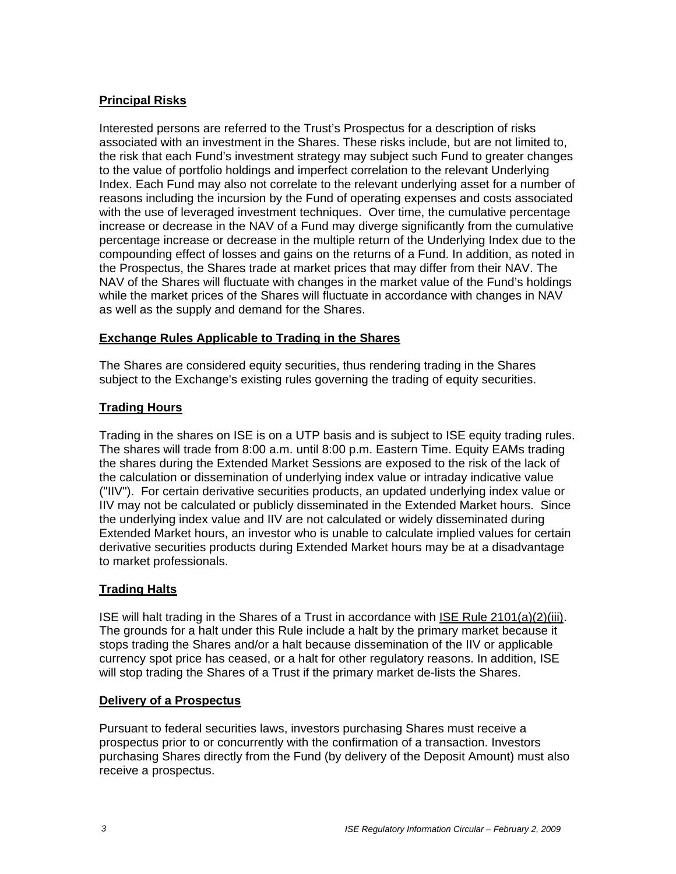# **Principal Risks**

Interested persons are referred to the Trust's Prospectus for a description of risks associated with an investment in the Shares. These risks include, but are not limited to, the risk that each Fund's investment strategy may subject such Fund to greater changes to the value of portfolio holdings and imperfect correlation to the relevant Underlying Index. Each Fund may also not correlate to the relevant underlying asset for a number of reasons including the incursion by the Fund of operating expenses and costs associated with the use of leveraged investment techniques. Over time, the cumulative percentage increase or decrease in the NAV of a Fund may diverge significantly from the cumulative percentage increase or decrease in the multiple return of the Underlying Index due to the compounding effect of losses and gains on the returns of a Fund. In addition, as noted in the Prospectus, the Shares trade at market prices that may differ from their NAV. The NAV of the Shares will fluctuate with changes in the market value of the Fund's holdings while the market prices of the Shares will fluctuate in accordance with changes in NAV as well as the supply and demand for the Shares.

# **Exchange Rules Applicable to Trading in the Shares**

The Shares are considered equity securities, thus rendering trading in the Shares subject to the Exchange's existing rules governing the trading of equity securities.

# **Trading Hours**

Trading in the shares on ISE is on a UTP basis and is subject to ISE equity trading rules. The shares will trade from 8:00 a.m. until 8:00 p.m. Eastern Time. Equity EAMs trading the shares during the Extended Market Sessions are exposed to the risk of the lack of the calculation or dissemination of underlying index value or intraday indicative value ("IIV"). For certain derivative securities products, an updated underlying index value or IIV may not be calculated or publicly disseminated in the Extended Market hours. Since the underlying index value and IIV are not calculated or widely disseminated during Extended Market hours, an investor who is unable to calculate implied values for certain derivative securities products during Extended Market hours may be at a disadvantage to market professionals.

### **Trading Halts**

ISE will halt trading in the Shares of a Trust in accordance with ISE Rule 2101(a)(2)(iii). The grounds for a halt under this Rule include a halt by the primary market because it stops trading the Shares and/or a halt because dissemination of the IIV or applicable currency spot price has ceased, or a halt for other regulatory reasons. In addition, ISE will stop trading the Shares of a Trust if the primary market de-lists the Shares.

### **Delivery of a Prospectus**

Pursuant to federal securities laws, investors purchasing Shares must receive a prospectus prior to or concurrently with the confirmation of a transaction. Investors purchasing Shares directly from the Fund (by delivery of the Deposit Amount) must also receive a prospectus.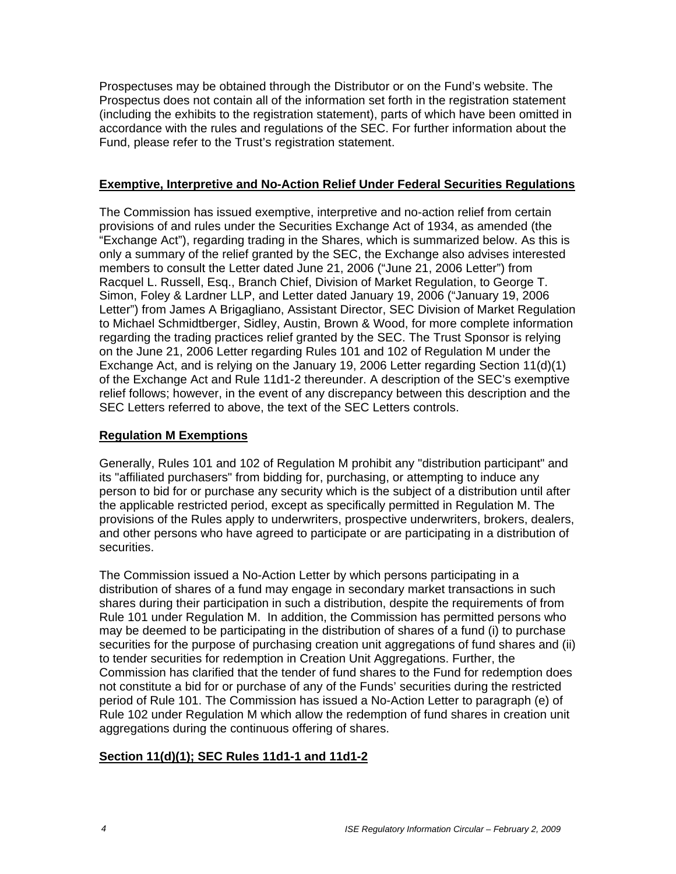Prospectuses may be obtained through the Distributor or on the Fund's website. The Prospectus does not contain all of the information set forth in the registration statement (including the exhibits to the registration statement), parts of which have been omitted in accordance with the rules and regulations of the SEC. For further information about the Fund, please refer to the Trust's registration statement.

### **Exemptive, Interpretive and No-Action Relief Under Federal Securities Regulations**

The Commission has issued exemptive, interpretive and no-action relief from certain provisions of and rules under the Securities Exchange Act of 1934, as amended (the "Exchange Act"), regarding trading in the Shares, which is summarized below. As this is only a summary of the relief granted by the SEC, the Exchange also advises interested members to consult the Letter dated June 21, 2006 ("June 21, 2006 Letter") from Racquel L. Russell, Esq., Branch Chief, Division of Market Regulation, to George T. Simon, Foley & Lardner LLP, and Letter dated January 19, 2006 ("January 19, 2006 Letter") from James A Brigagliano, Assistant Director, SEC Division of Market Regulation to Michael Schmidtberger, Sidley, Austin, Brown & Wood, for more complete information regarding the trading practices relief granted by the SEC. The Trust Sponsor is relying on the June 21, 2006 Letter regarding Rules 101 and 102 of Regulation M under the Exchange Act, and is relying on the January 19, 2006 Letter regarding Section 11(d)(1) of the Exchange Act and Rule 11d1-2 thereunder. A description of the SEC's exemptive relief follows; however, in the event of any discrepancy between this description and the SEC Letters referred to above, the text of the SEC Letters controls.

### **Regulation M Exemptions**

Generally, Rules 101 and 102 of Regulation M prohibit any "distribution participant" and its "affiliated purchasers" from bidding for, purchasing, or attempting to induce any person to bid for or purchase any security which is the subject of a distribution until after the applicable restricted period, except as specifically permitted in Regulation M. The provisions of the Rules apply to underwriters, prospective underwriters, brokers, dealers, and other persons who have agreed to participate or are participating in a distribution of securities.

The Commission issued a No-Action Letter by which persons participating in a distribution of shares of a fund may engage in secondary market transactions in such shares during their participation in such a distribution, despite the requirements of from Rule 101 under Regulation M. In addition, the Commission has permitted persons who may be deemed to be participating in the distribution of shares of a fund (i) to purchase securities for the purpose of purchasing creation unit aggregations of fund shares and (ii) to tender securities for redemption in Creation Unit Aggregations. Further, the Commission has clarified that the tender of fund shares to the Fund for redemption does not constitute a bid for or purchase of any of the Funds' securities during the restricted period of Rule 101. The Commission has issued a No-Action Letter to paragraph (e) of Rule 102 under Regulation M which allow the redemption of fund shares in creation unit aggregations during the continuous offering of shares.

### **Section 11(d)(1); SEC Rules 11d1-1 and 11d1-2**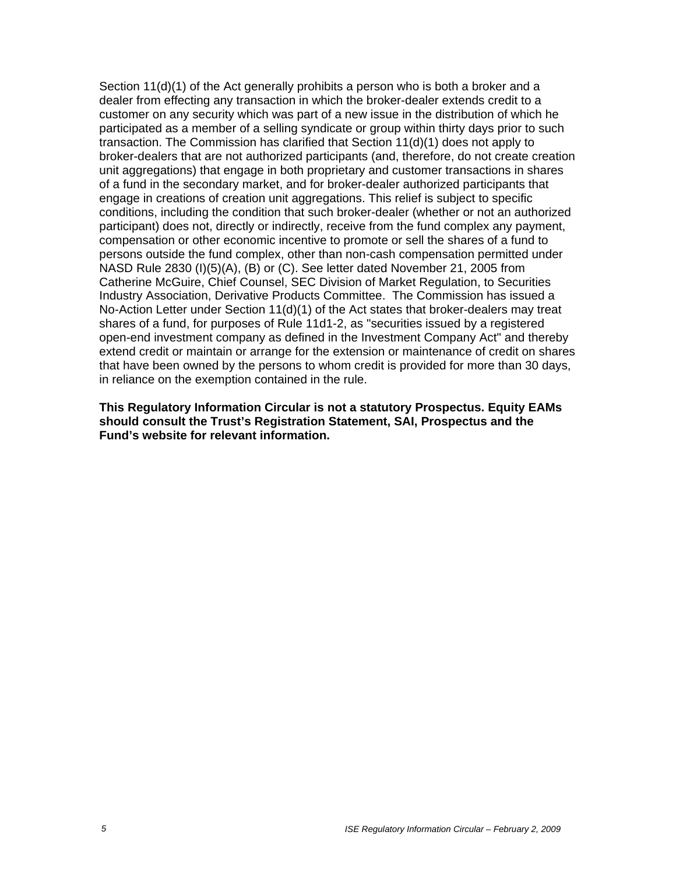Section 11(d)(1) of the Act generally prohibits a person who is both a broker and a dealer from effecting any transaction in which the broker-dealer extends credit to a customer on any security which was part of a new issue in the distribution of which he participated as a member of a selling syndicate or group within thirty days prior to such transaction. The Commission has clarified that Section 11(d)(1) does not apply to broker-dealers that are not authorized participants (and, therefore, do not create creation unit aggregations) that engage in both proprietary and customer transactions in shares of a fund in the secondary market, and for broker-dealer authorized participants that engage in creations of creation unit aggregations. This relief is subject to specific conditions, including the condition that such broker-dealer (whether or not an authorized participant) does not, directly or indirectly, receive from the fund complex any payment, compensation or other economic incentive to promote or sell the shares of a fund to persons outside the fund complex, other than non-cash compensation permitted under NASD Rule 2830 (I)(5)(A), (B) or (C). See letter dated November 21, 2005 from Catherine McGuire, Chief Counsel, SEC Division of Market Regulation, to Securities Industry Association, Derivative Products Committee. The Commission has issued a No-Action Letter under Section 11(d)(1) of the Act states that broker-dealers may treat shares of a fund, for purposes of Rule 11d1-2, as "securities issued by a registered open-end investment company as defined in the Investment Company Act" and thereby extend credit or maintain or arrange for the extension or maintenance of credit on shares that have been owned by the persons to whom credit is provided for more than 30 days, in reliance on the exemption contained in the rule.

**This Regulatory Information Circular is not a statutory Prospectus. Equity EAMs should consult the Trust's Registration Statement, SAI, Prospectus and the Fund's website for relevant information.**